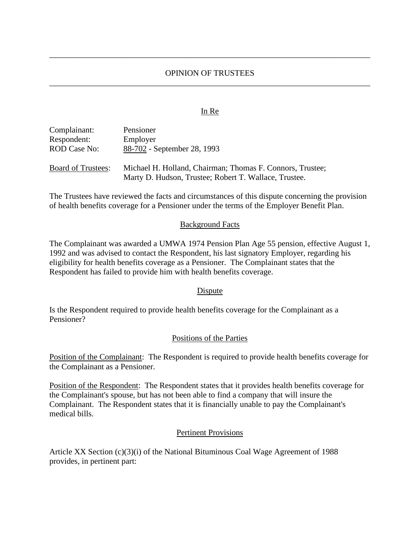# OPINION OF TRUSTEES \_\_\_\_\_\_\_\_\_\_\_\_\_\_\_\_\_\_\_\_\_\_\_\_\_\_\_\_\_\_\_\_\_\_\_\_\_\_\_\_\_\_\_\_\_\_\_\_\_\_\_\_\_\_\_\_\_\_\_\_\_\_\_\_\_\_\_\_\_\_\_\_\_\_\_\_\_\_

\_\_\_\_\_\_\_\_\_\_\_\_\_\_\_\_\_\_\_\_\_\_\_\_\_\_\_\_\_\_\_\_\_\_\_\_\_\_\_\_\_\_\_\_\_\_\_\_\_\_\_\_\_\_\_\_\_\_\_\_\_\_\_\_\_\_\_\_\_\_\_\_\_\_\_\_\_\_

### In Re

| Complainant:              | Pensioner                                                                                                          |
|---------------------------|--------------------------------------------------------------------------------------------------------------------|
| Respondent:               | Employer                                                                                                           |
| <b>ROD Case No:</b>       | 88-702 - September 28, 1993                                                                                        |
| <b>Board of Trustees:</b> | Michael H. Holland, Chairman; Thomas F. Connors, Trustee;<br>Marty D. Hudson, Trustee; Robert T. Wallace, Trustee. |

The Trustees have reviewed the facts and circumstances of this dispute concerning the provision of health benefits coverage for a Pensioner under the terms of the Employer Benefit Plan.

### Background Facts

The Complainant was awarded a UMWA 1974 Pension Plan Age 55 pension, effective August 1, 1992 and was advised to contact the Respondent, his last signatory Employer, regarding his eligibility for health benefits coverage as a Pensioner. The Complainant states that the Respondent has failed to provide him with health benefits coverage.

#### Dispute

Is the Respondent required to provide health benefits coverage for the Complainant as a Pensioner?

### Positions of the Parties

Position of the Complainant: The Respondent is required to provide health benefits coverage for the Complainant as a Pensioner.

Position of the Respondent: The Respondent states that it provides health benefits coverage for the Complainant's spouse, but has not been able to find a company that will insure the Complainant. The Respondent states that it is financially unable to pay the Complainant's medical bills.

#### Pertinent Provisions

Article XX Section (c)(3)(i) of the National Bituminous Coal Wage Agreement of 1988 provides, in pertinent part: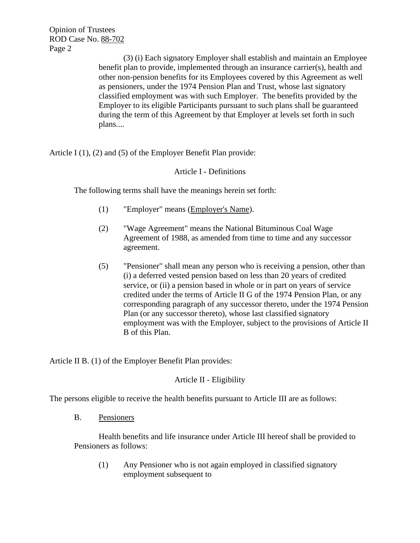Opinion of Trustees ROD Case No. 88-702 Page 2

> (3) (i) Each signatory Employer shall establish and maintain an Employee benefit plan to provide, implemented through an insurance carrier(s), health and other non-pension benefits for its Employees covered by this Agreement as well as pensioners, under the 1974 Pension Plan and Trust, whose last signatory classified employment was with such Employer. The benefits provided by the Employer to its eligible Participants pursuant to such plans shall be guaranteed during the term of this Agreement by that Employer at levels set forth in such plans....

Article I (1), (2) and (5) of the Employer Benefit Plan provide:

# Article I - Definitions

The following terms shall have the meanings herein set forth:

- (1) "Employer" means (Employer's Name).
- (2) "Wage Agreement" means the National Bituminous Coal Wage Agreement of 1988, as amended from time to time and any successor agreement.
- (5) "Pensioner" shall mean any person who is receiving a pension, other than (i) a deferred vested pension based on less than 20 years of credited service, or (ii) a pension based in whole or in part on years of service credited under the terms of Article II G of the 1974 Pension Plan, or any corresponding paragraph of any successor thereto, under the 1974 Pension Plan (or any successor thereto), whose last classified signatory employment was with the Employer, subject to the provisions of Article II B of this Plan.

Article II B. (1) of the Employer Benefit Plan provides:

## Article II - Eligibility

The persons eligible to receive the health benefits pursuant to Article III are as follows:

B. Pensioners

Health benefits and life insurance under Article III hereof shall be provided to Pensioners as follows:

(1) Any Pensioner who is not again employed in classified signatory employment subsequent to